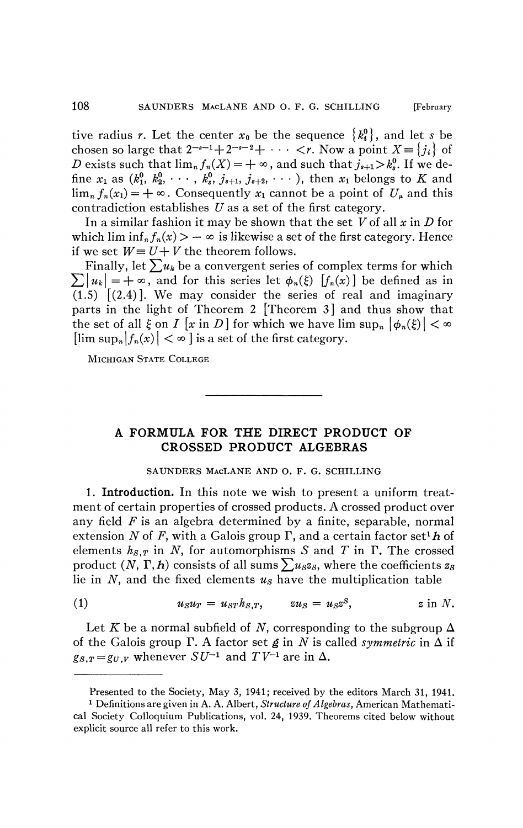tive radius *r*. Let the center  $x_0$  be the sequence  $\{k_i^0\}$ , and let *s* be chosen so large that  $2^{-s-1}+2^{-s-2}+\cdots < r$ . Now a point  $X = \{j_i\}$  of *D* exists such that  $\lim_{n} f_n(X) = +\infty$ , and such that  $j_{s+1} > k_s^0$ . If we define  $x_1$  as  $(k_1^0, k_2^0, \cdots, k_s^0, j_{s+1}, j_{s+2}, \cdots)$ , then  $x_1$  belongs to K and  $\lim_{n} f_n(x_1) = +\infty$ . Consequently  $x_1$  cannot be a point of  $U_\mu$  and this contradiction establishes *U* as a set of the first category.

In a similar fashion it may be shown that the set *V* of all *x* in *D* for which lim  $\inf_n f_n(x) > -\infty$  is likewise a set of the first category. Hence if we set  $W = U + V$  the theorem follows.

Finally, let  $\sum u_k$  be a convergent series of complex terms for which  $\sum |u_k| = +\infty$ , and for this series let  $\phi_n(\xi)$  [ $f_n(x)$ ] be defined as in  $(1.5)$   $(2.4)$ . We may consider the series of real and imaginary parts in the light of Theorem 2 [Theorem 3] and thus show that the set of all  $\xi$  on  $I$  [x in D] for which we have  $\limsup_{n} |\phi_n(\xi)| < \infty$  $\left[\limsup_{n}|f_{n}(x)| < \infty\right]$  is a set of the first category.

MICHIGAN STATE COLLEGE

## **A FORMULA FOR THE DIRECT PRODUCT OF CROSSED PRODUCT ALGEBRAS**

## SAUNDERS MACLANE AND O. F. G. SCHILLING

**1. Introduction.** In this note we wish to present a uniform treatment of certain properties of crossed products. A crossed product over any field *F* is an algebra determined by a finite, separable, normal extension N of F, with a Galois group  $\Gamma$ , and a certain factor set<sup>1</sup> h of elements  $h_{S,T}$  in *N*, for automorphisms *S* and *T* in  $\Gamma$ . The crossed product  $(N, \Gamma, h)$  consists of all sums  $\sum u_s z_s$ , where the coefficients  $z_s$ lie in *N,* and the fixed elements *us* have the multiplication table

$$
(1) \t u_S u_T = u_{ST} h_{S,T}, \t zu_S = u_S z^S, \t z in N.
$$

Let K be a normal subfield of N, corresponding to the subgroup  $\Delta$ of the Galois group  $\Gamma$ . A factor set  $\beta$  in N is called *symmetric* in  $\Delta$  if  $g_{S,T} = g_U$ , *v* whenever  $SU^{-1}$  and  $TV^{-1}$  are in  $\Delta$ .

Presented to the Society, May 3, 1941; received by the editors March 31, 1941.

<sup>1</sup> Definitions are given in A. A. Albert, *Structure of Algebras,* American Mathematical Society Colloquium Publications, vol. 24, 1939. Theorems cited below without explicit source all refer to this work.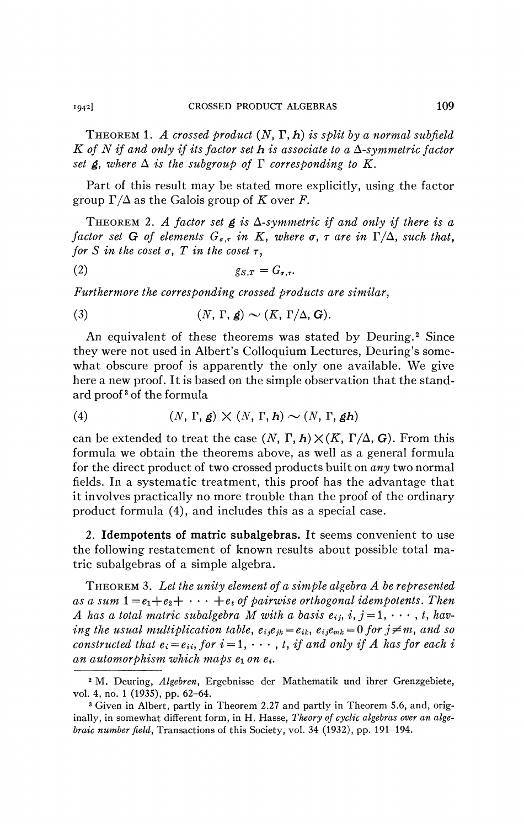THEOREM 1. A crossed product  $(N, \Gamma, h)$  is split by a normal subfield  $K$  of  $N$  if and only if its factor set  $h$  is associate to a  $\Delta$ -symmetric factor *set*  $g$ *, where*  $\Delta$  *is the subgroup of*  $\Gamma$  *corresponding to*  $K$ *.* 

Part of this result may be stated more explicitly, using the factor group  $\Gamma/\Delta$  as the Galois group of K over F.

THEOREM 2. A factor set  $g$  is  $\Delta$ -symmetric if and only if there is a *factor set* G of elements  $G_{\sigma,r}$  in K, where  $\sigma$ ,  $\tau$  are in  $\Gamma/\Delta$ , such that, *for S* in the coset  $\sigma$ , *T* in the coset  $\tau$ ,

$$
(2) \t\t\t g_{S,T} = G_{\sigma,\tau}.
$$

*Furthermore the corresponding crossed products are similar,* 

(3) 
$$
(N, \Gamma, \mathbf{g}) \sim (K, \Gamma/\Delta, \mathbf{G}).
$$

An equivalent of these theorems was stated by Deuring.<sup>2</sup> Since they were not used in Albert's Colloquium Lectures, Deuring's somewhat obscure proof is apparently the only one available. We give here a new proof. It is based on the simple observation that the standard proof<sup>3</sup> of the formula

(4) 
$$
(N, \Gamma, \mathbf{g}) \times (N, \Gamma, \mathbf{h}) \sim (N, \Gamma, \mathbf{g} \mathbf{h})
$$

can be extended to treat the case  $(N, \Gamma, h) \times (K, \Gamma/\Delta, G)$ . From this formula we obtain the theorems above, as well as a general formula for the direct product of two crossed products built on *any* two normal fields. In a systematic treatment, this proof has the advantage that it involves practically no more trouble than the proof of the ordinary product formula (4), and includes this as a special case.

2. **Idempotents of matric subalgebras.** It seems convenient to use the following restatement of known results about possible total matric subalgebras of a simple algebra.

THEOREM 3. *Let the unity element of a simple algebra A be represented as a sum*  $1 = e_1 + e_2 + \cdots + e_t$  of pairwise orthogonal idempotents. Then *A* has a total matric subalgebra M with a basis  $e_{ij}$ ,  $i, j = 1, \dots, t$ , hav*ing the usual multiplication table,*  $e_{ij}e_{jk} = e_{ik}$ *,*  $e_{ij}e_{mk} = 0$  *for*  $j \neq m$ *, and so constructed that*  $e_i = e_{ii}$ *, for*  $i = 1, \dots, t$ , *if and only if A has for each i an automorphism which maps*  $e_1$  *on*  $e_i$ .

<sup>2</sup> M. Deuring, *Algebren,* Ergebnisse der Mathematik und ihrer Grenzgebiete, vol. 4, no. 1 (1935), pp. 62-64.

<sup>&</sup>lt;sup>3</sup> Given in Albert, partly in Theorem 2.27 and partly in Theorem 5.6, and, originally, in somewhat different form, in H. Hasse, *Theory of cyclic algebras over an algebraic number field,* Transactions of this Society, vol. 34 (1932), pp. 191-194.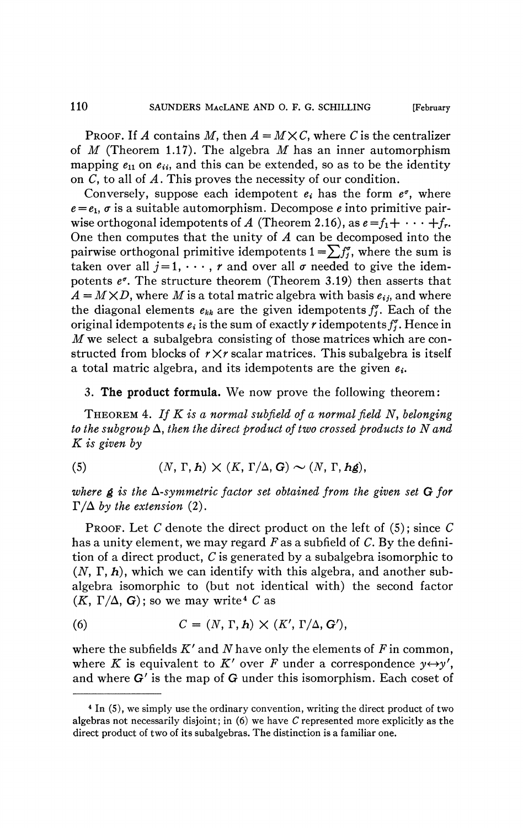PROOF. If A contains M, then  $A = M \times C$ , where C is the centralizer of *M* (Theorem 1.17). The algebra *M* has an inner automorphism mapping  $e_{11}$  on  $e_{ii}$ , and this can be extended, so as to be the identity on C, to all of *A.* This proves the necessity of our condition.

Conversely, suppose each idempotent  $e_i$  has the form  $e^{\sigma}$ , where  $e = e_1$ ,  $\sigma$  is a suitable automorphism. Decompose *e* into primitive pairwise orthogonal idempotents of A (Theorem 2.16), as  $e = f_1 + \cdots + f_r$ . One then computes that the unity of *A* can be decomposed into the pairwise orthogonal primitive idempotents  $1 = \sum f_i^{\sigma}$ , where the sum is taken over all  $j=1, \dots, r$  and over all  $\sigma$  needed to give the idempotents *e\*.* The structure theorem (Theorem 3.19) then asserts that  $A = M \times D$ , where M is a total matric algebra with basis  $e_{ij}$ , and where the diagonal elements  $e_{kk}$  are the given idempotents  $f_j^{\sigma}$ . Each of the original idempotents  $e_i$  is the sum of exactly r idempotents  $f_i^{\sigma}$ . Hence in *M* we select a subalgebra consisting of those matrices which are constructed from blocks of *r Xr* scalar matrices. This subalgebra is itself a total matric algebra, and its idempotents are the given  $e_i$ .

3. **The product formula.** We now prove the following theorem:

THEOREM 4. *If K is a normal sub field of a normal field N, belonging to the subgroup* A, *then the direct product of two crossed products to N and K is given by* 

(5) 
$$
(N, \Gamma, h) \times (K, \Gamma/\Delta, G) \sim (N, \Gamma, h\mathfrak{g}),
$$

where  $g$  is the  $\Delta$ -symmetric factor set obtained from the given set  $G$  for  $\Gamma/\Delta$  by the extension (2).

PROOF. Let *C* denote the direct product on the left of (5) ; since *C*  has a unity element, we may regard  $F$  as a subfield of  $C$ . By the definition of a direct product, *C* is generated by a subalgebra isomorphic to  $(N, \Gamma, h)$ , which we can identify with this algebra, and another subalgebra isomorphic to (but not identical with) the second factor  $(K, \Gamma/\Delta, G)$ ; so we may write<sup>4</sup> C as

(6) 
$$
C = (N, \Gamma, h) \times (K', \Gamma/\Delta, G'),
$$

where the subfields  $K'$  and  $N$  have only the elements of  $F$  in common, where *K* is equivalent to *K'* over *F* under a correspondence  $y \leftrightarrow y'$ , and where G' is the map of G under this isomorphism. Each coset of

<sup>4</sup> In (5), we simply use the ordinary convention, writing the direct product of two algebras not necessarily disjoint ; in (6) we have *C* represented more explicitly as the direct product of two of its subalgebras. The distinction is a familiar one.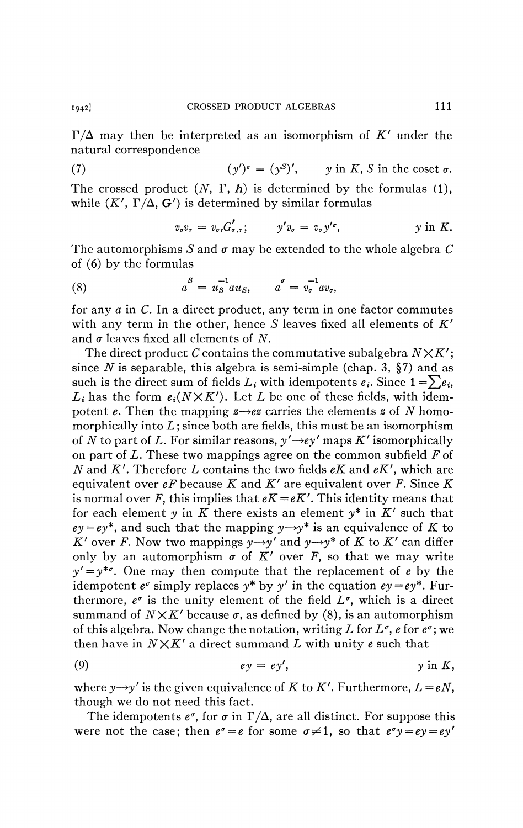$\Gamma/\Delta$  may then be interpreted as an isomorphism of K' under the natural correspondence

(7)  $(\gamma')^{\sigma} = (\gamma^{S})'$ ,  $\nu$  in *K*, *S* in the coset  $\sigma$ . The crossed product *(N, T, h)* is determined by the formulas (1), while  $(K', \Gamma/\Delta, G')$  is determined by similar formulas

$$
v_{\sigma}v_{\tau}=v_{\sigma\tau}G'_{\sigma,\tau}; \qquad y'v_{\sigma}=v_{\sigma}y'^{\sigma}, \qquad y \text{ in } K.
$$

The automorphisms S and  $\sigma$  may be extended to the whole algebra C of (6) by the formulas

(8) 
$$
a^S = u_S^{-1} a u_S, \qquad a^{\sigma} = v_{\sigma}^{-1} a v_{\sigma},
$$

for any  $a$  in  $C$ . In a direct product, any term in one factor commutes with any term in the other, hence *S* leaves fixed all elements of *K'*  and  $\sigma$  leaves fixed all elements of N.

The direct product *C* contains the commutative subalgebra *NXK';*  since  $N$  is separable, this algebra is semi-simple (chap. 3,  $\S$ 7) and as such is the direct sum of fields  $L_i$  with idempotents  $e_i$ . Since  $1 = \sum e_i$ ,  $L_i$  has the form  $e_i(N \times K')$ . Let *L* be one of these fields, with idempotent *e*. Then the mapping  $z \rightarrow e\overline{z}$  carries the elements *z* of *N* homomorphically into  $L$ ; since both are fields, this must be an isomorphism of *N* to part of *L*. For similar reasons,  $y' \rightarrow e y'$  maps *K'* isomorphically on part of *L.* These two mappings agree on the common subfield *F* of *N* and *K'.* Therefore *L* contains the two fields *eK* and *eK',* which are equivalent over *eF* because *K* and *K'* are equivalent over *F.* Since *K*  is normal over *F*, this implies that  $eK = eK'$ . This identity means that for each element y in K there exists an element  $y^*$  in K' such that  $ev = ev^*$ , and such that the mapping  $v \rightarrow v^*$  is an equivalence of K to  $\overline{K}$  over *F*. Now two mappings  $y \rightarrow y'$  and  $y \rightarrow y^*$  of  $\overline{K}$  to  $\overline{K}$  can differ only by an automorphism  $\sigma$  of  $\tilde{K}'$  over  $\tilde{F}$ , so that we may write  $y' = y^{* \sigma}$ . One may then compute that the replacement of *e* by the idempotent  $e^{\sigma}$  simply replaces  $y^*$  by  $y'$  in the equation  $ey = ey^*$ . Furthermore,  $e^{\sigma}$  is the unity element of the field  $L^{\sigma}$ , which is a direct summand of  $N \times K'$  because  $\sigma$ , as defined by (8), is an automorphism of this algebra. Now change the notation, writing L for  $L^{\sigma}$ , e for  $e^{\sigma}$ ; we then have in *NXK'* a direct summand *L* with unity *e* such that

$$
(9) \t\t\t\t ey = ey', \t\t\t\t y in K,
$$

where  $y \rightarrow y'$  is the given equivalence of *K* to *K'*. Furthermore,  $L = eN$ , though we do not need this fact.

The idempotents  $e^{\sigma}$ , for  $\sigma$  in  $\Gamma/\Delta$ , are all distinct. For suppose this were not the case; then  $e^{\sigma} = e$  for some  $\sigma \neq 1$ , so that  $e^{\sigma}y = ey = ey'$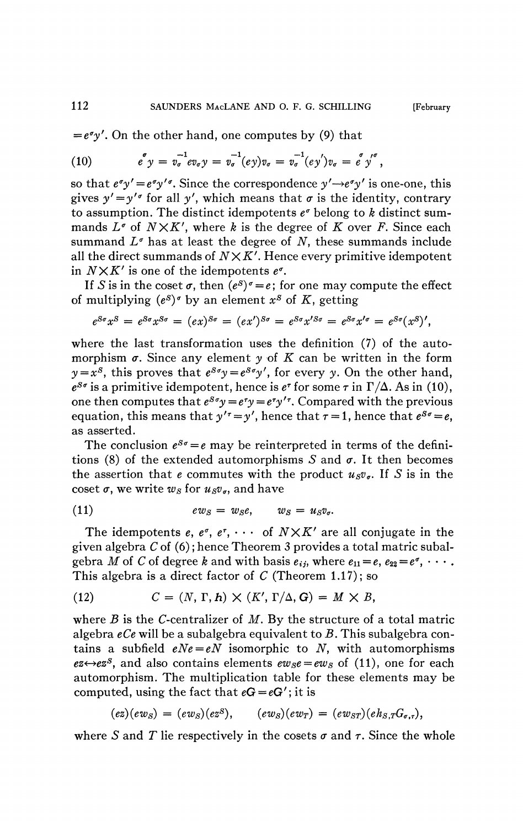$= e^{\sigma} y'$ . On the other hand, one computes by (9) that

(10) 
$$
e^{^{\sigma}} y = v_{\sigma}^{-1} e v_{\sigma} y = v_{\sigma}^{-1} (e y) v_{\sigma} = v_{\sigma}^{-1} (e y') v_{\sigma} = e^{^{\sigma}} y'^{\sigma},
$$

so that  $e^{\sigma}y' = e^{\sigma}y'$ . Since the correspondence  $y' \rightarrow e^{\sigma}y'$  is one-one, this gives  $y' = y'$ <sup> $\sigma$ </sup> for all  $y'$ , which means that  $\sigma$  is the identity, contrary to assumption. The distinct idempotents  $e^{\sigma}$  belong to *k* distinct summands  $L^{\sigma}$  of  $N \times K'$ , where *k* is the degree of *K* over *F*. Since each summand  $L^{\sigma}$  has at least the degree of N, these summands include all the direct summands of  $N \times K'$ . Hence every primitive idempotent in  $N \times K'$  is one of the idempotents  $e^{\sigma}$ .

If *S* is in the coset  $\sigma$ , then  $(e^{s})^{\sigma} = e$ ; for one may compute the effect of multiplying  $(e^s)$ <sup>*'*</sup> by an element  $x^s$  of  $K$ , getting

$$
e^{S\sigma}x^S = e^{S\sigma}x^{S\sigma} = (ex)^{S\sigma} = (ex')^{S\sigma} = e^{S\sigma}x'^{S\sigma} = e^{S\sigma}x'^{\sigma} = e^{S\sigma}(x^S)',
$$

where the last transformation uses the definition (7) of the automorphism  $\sigma$ . Since any element  $\gamma$  of  $K$  can be written in the form  $y = x^s$ , this proves that  $e^{s\sigma}y = e^{s\sigma}y'$ , for every *y*. On the other hand,  $e^{S\sigma}$  is a primitive idempotent, hence is  $e^{\tau}$  for some  $\tau$  in  $\Gamma/\Delta$ . As in (10), one then computes that  $e^{g\sigma}y = e^{\tau}y = e^{\tau}y'$ <sup> $\tau$ </sup>. Compared with the previous equation, this means that  $y'' = y'$ , hence that  $\tau = 1$ , hence that  $e^{S\sigma} = e$ , as asserted.

The conclusion  $e^{s\sigma} = e$  may be reinterpreted in terms of the definitions (8) of the extended automorphisms S and  $\sigma$ . It then becomes the assertion that *e* commutes with the product  $u_S v_g$ . If *S* is in the coset  $\sigma$ , we write  $w_s$  for  $u_s v_s$ , and have

$$
(11) \t\t env_S = w_S e, \t w_S = u_S v_\sigma.
$$

The idempotents  $e, e^{\sigma}, e^{\tau}, \cdots$  of  $N \times K'$  are all conjugate in the given algebra *C* of (6) ; hence Theorem 3 provides a total matric subalgebra *M* of *C* of degree *k* and with basis  $e_{ij}$ , where  $e_{11} = e$ ,  $e_{22} = e^{\sigma}$ ,  $\cdots$ . This algebra is a direct factor of *C* (Theorem 1.17); so

(12) 
$$
C = (N, \Gamma, h) \times (K', \Gamma/\Delta, G) = M \times B,
$$

where *B* is the C-centralizer of *M.* By the structure of a total matric algebra *eCe* will be a subalgebra equivalent to *B.* This subalgebra contains a subfield  $eNe = eN$  isomorphic to N, with automorphisms  $e^{i\theta}$  *ez*<sup>*s*</sup>, and also contains elements  $e^{i\theta}$ <sub>*se*</sub> =  $e^{i\theta}$ <sub>*s*</sub> of (11), one for each automorphism. The multiplication table for these elements may be computed, using the fact that  $eG = eG'$ ; it is

$$
(ez)(ew_S) = (ew_S)(ez^S), \qquad (ew_S)(ew_T) = (ew_{ST})(eh_{S,T}G_{\sigma,\tau}),
$$

where S and T lie respectively in the cosets  $\sigma$  and  $\tau$ . Since the whole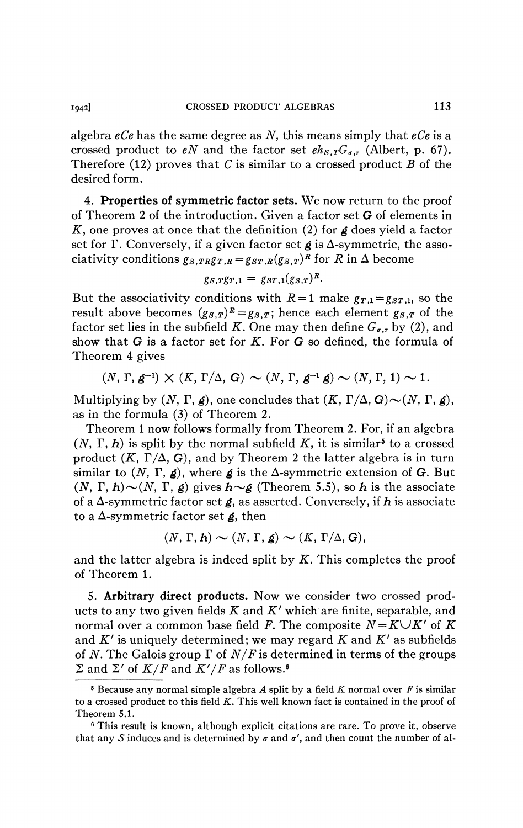algebra *eCe* has the same degree as *N,* this means simply that *eCe* is a crossed product to *eN* and the factor set  $eh_{S,T}G_{\sigma,\tau}$  (Albert, p. 67). Therefore (12) proves that *C* is similar to a crossed product *B* of the desired form.

4. **Properties of symmetric factor sets.** We now return to the proof of Theorem 2 of the introduction. Given a factor set G of elements in *Ky* one proves at once that the definition (2) for *g* does yield a factor set for  $\Gamma$ . Conversely, if a given factor set  $g$  is  $\Delta$ -symmetric, the associativity conditions  $g_{S,TR}g_{T,R} = g_{ST,R}(g_{S,T})^R$  for *R* in  $\Delta$  become

$$
g_{S,T}g_{T,1}=g_{ST,1}(g_{S,T})^R.
$$

But the associativity conditions with  $R=1$  make  $g_{T,1} = g_{ST,1}$ , so the result above becomes  $(g_{s,T})^R = g_{s,T}$ ; hence each element  $g_{s,T}$  of the factor set lies in the subfield K. One may then define  $G_{\sigma,\tau}$  by (2), and show that G is a factor set for *K.* For G so defined, the formula of Theorem 4 gives

$$
(N, \Gamma, \mathbf{g}^{-1}) \times (K, \Gamma/\Delta, \mathbf{G}) \sim (N, \Gamma, \mathbf{g}^{-1} \mathbf{g}) \sim (N, \Gamma, 1) \sim 1.
$$

Multiplying by  $(N, \Gamma, \mathbf{g})$ , one concludes that  $(K, \Gamma/\Delta, \mathbf{G}) \sim (N, \Gamma, \mathbf{g})$ , as in the formula (3) of Theorem 2.

Theorem 1 now follows formally from Theorem 2. For, if an algebra  $(N, \Gamma, h)$  is split by the normal subfield K, it is similar<sup>5</sup> to a crossed product  $(K, \Gamma/\Delta, G)$ , and by Theorem 2 the latter algebra is in turn similar to  $(N, \Gamma, g)$ , where g is the  $\Delta$ -symmetric extension of G. But  $(N, \Gamma, h) \sim (N, \Gamma, g)$  gives  $h \sim g$  (Theorem 5.5), so h is the associate of a A-symmetric factor set *g,* as asserted. Conversely, if *h* is associate to a A-symmetric factor set *g,* then

$$
(N, \Gamma, h) \sim (N, \Gamma, g) \sim (K, \Gamma/\Delta, G),
$$

and the latter algebra is indeed split by *K.* This completes the proof of Theorem **1**.

5. **Arbitrary direct products.** Now we consider two crossed products to any two given fields *K* and *K<sup>f</sup>* which are finite, separable, and normal over a common base field F. The composite  $N = K \cup K'$  of  $K$ and  $K'$  is uniquely determined; we may regard  $K$  and  $K'$  as subfields of *N.* The Galois group *Y* of *N/F* is determined in terms of the groups  $\Sigma$  and  $\Sigma'$  of  $K/F$  and  $K'/F$  as follows.<sup>6</sup>

<sup>6</sup> Because any normal simple algebra *A* split by a field *K* normal over *F* is similar to a crossed product to this field *K.* This well known fact is contained in the proof of Theorem 5.1.

<sup>6</sup> This result is known, although explicit citations are rare. To prove it, observe that any S induces and is determined by  $\sigma$  and  $\sigma'$ , and then count the number of al-